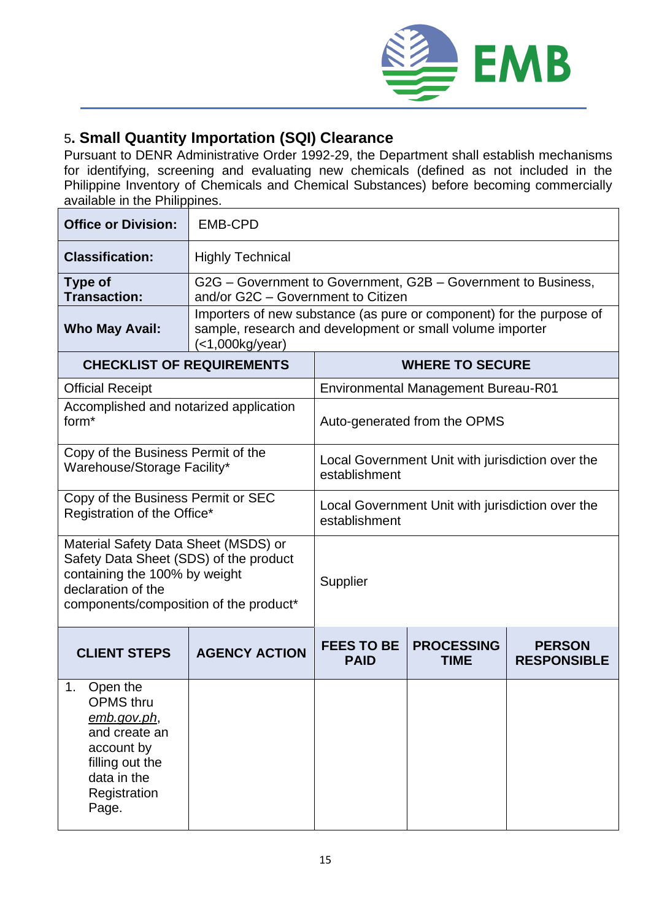

## 5**. Small Quantity Importation (SQI) Clearance**

Pursuant to DENR Administrative Order 1992-29, the Department shall establish mechanisms for identifying, screening and evaluating new chemicals (defined as not included in the Philippine Inventory of Chemicals and Chemical Substances) before becoming commercially available in the Philippines.

| <b>Office or Division:</b>                                                                                                                                                      | <b>EMB-CPD</b>                                                                                                                                            |                                                                   |                                  |                                     |  |
|---------------------------------------------------------------------------------------------------------------------------------------------------------------------------------|-----------------------------------------------------------------------------------------------------------------------------------------------------------|-------------------------------------------------------------------|----------------------------------|-------------------------------------|--|
| <b>Classification:</b>                                                                                                                                                          | <b>Highly Technical</b>                                                                                                                                   |                                                                   |                                  |                                     |  |
| <b>Type of</b><br><b>Transaction:</b>                                                                                                                                           | G2G – Government to Government, G2B – Government to Business,<br>and/or G2C - Government to Citizen                                                       |                                                                   |                                  |                                     |  |
| <b>Who May Avail:</b>                                                                                                                                                           | Importers of new substance (as pure or component) for the purpose of<br>sample, research and development or small volume importer<br>$\leq$ 1,000kg/year) |                                                                   |                                  |                                     |  |
| <b>CHECKLIST OF REQUIREMENTS</b>                                                                                                                                                |                                                                                                                                                           | <b>WHERE TO SECURE</b>                                            |                                  |                                     |  |
| <b>Official Receipt</b>                                                                                                                                                         |                                                                                                                                                           | <b>Environmental Management Bureau-R01</b>                        |                                  |                                     |  |
| Accomplished and notarized application<br>form <sup>*</sup>                                                                                                                     |                                                                                                                                                           | Auto-generated from the OPMS                                      |                                  |                                     |  |
| Copy of the Business Permit of the<br>Warehouse/Storage Facility*                                                                                                               |                                                                                                                                                           | Local Government Unit with jurisdiction over the<br>establishment |                                  |                                     |  |
| Copy of the Business Permit or SEC<br>Registration of the Office*                                                                                                               |                                                                                                                                                           | Local Government Unit with jurisdiction over the<br>establishment |                                  |                                     |  |
| Material Safety Data Sheet (MSDS) or<br>Safety Data Sheet (SDS) of the product<br>containing the 100% by weight<br>declaration of the<br>components/composition of the product* |                                                                                                                                                           | Supplier                                                          |                                  |                                     |  |
| <b>CLIENT STEPS</b>                                                                                                                                                             | <b>AGENCY ACTION</b>                                                                                                                                      | <b>FEES TO BE</b><br><b>PAID</b>                                  | <b>PROCESSING</b><br><b>TIME</b> | <b>PERSON</b><br><b>RESPONSIBLE</b> |  |
| 1.<br>Open the<br><b>OPMS</b> thru<br><u>emb.gov.ph,</u><br>and create an<br>account by<br>filling out the<br>data in the<br>Registration<br>Page.                              |                                                                                                                                                           |                                                                   |                                  |                                     |  |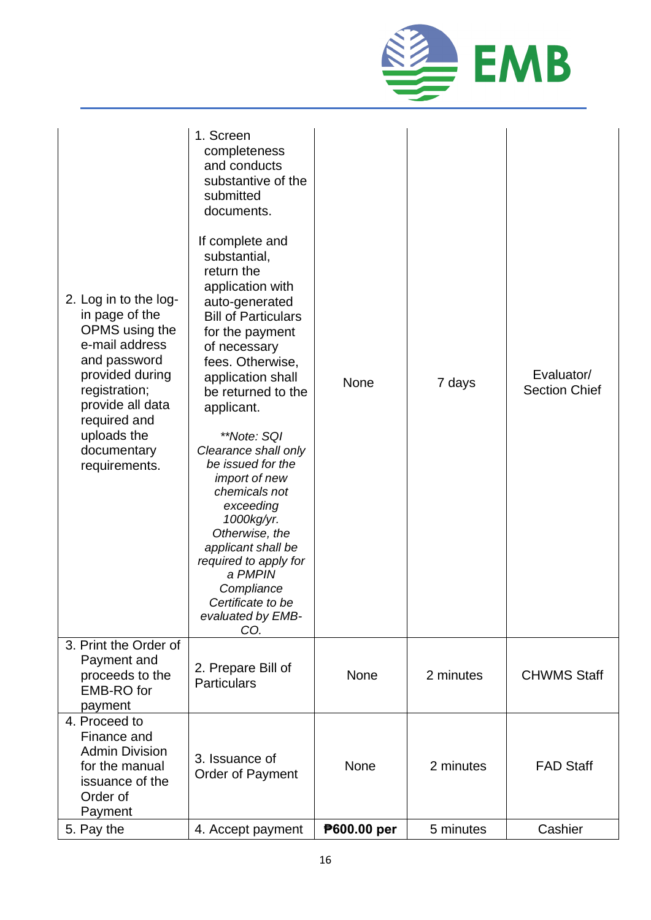

| 2. Log in to the log-<br>in page of the<br>OPMS using the<br>e-mail address<br>and password<br>provided during<br>registration;<br>provide all data<br>required and<br>uploads the<br>documentary<br>requirements. | 1. Screen<br>completeness<br>and conducts<br>substantive of the<br>submitted<br>documents.<br>If complete and<br>substantial,<br>return the<br>application with<br>auto-generated<br><b>Bill of Particulars</b><br>for the payment<br>of necessary<br>fees. Otherwise,<br>application shall<br>be returned to the<br>applicant.<br>**Note: SQI<br>Clearance shall only<br>be issued for the<br><i>import of new</i><br>chemicals not<br>exceeding<br>1000kg/yr.<br>Otherwise, the<br>applicant shall be<br>required to apply for<br>a PMPIN<br>Compliance<br>Certificate to be<br>evaluated by EMB-<br>CO. | <b>None</b> | 7 days    | Evaluator/<br><b>Section Chief</b> |
|--------------------------------------------------------------------------------------------------------------------------------------------------------------------------------------------------------------------|------------------------------------------------------------------------------------------------------------------------------------------------------------------------------------------------------------------------------------------------------------------------------------------------------------------------------------------------------------------------------------------------------------------------------------------------------------------------------------------------------------------------------------------------------------------------------------------------------------|-------------|-----------|------------------------------------|
| 3. Print the Order of<br>Payment and<br>proceeds to the<br><b>EMB-RO</b> for<br>payment                                                                                                                            | 2. Prepare Bill of<br><b>Particulars</b>                                                                                                                                                                                                                                                                                                                                                                                                                                                                                                                                                                   | <b>None</b> | 2 minutes | <b>CHWMS Staff</b>                 |
| 4. Proceed to<br>Finance and<br><b>Admin Division</b><br>for the manual<br>issuance of the<br>Order of<br>Payment                                                                                                  | 3. Issuance of<br>Order of Payment                                                                                                                                                                                                                                                                                                                                                                                                                                                                                                                                                                         | <b>None</b> | 2 minutes | <b>FAD Staff</b>                   |
| 5. Pay the                                                                                                                                                                                                         | 4. Accept payment                                                                                                                                                                                                                                                                                                                                                                                                                                                                                                                                                                                          | P600.00 per | 5 minutes | Cashier                            |